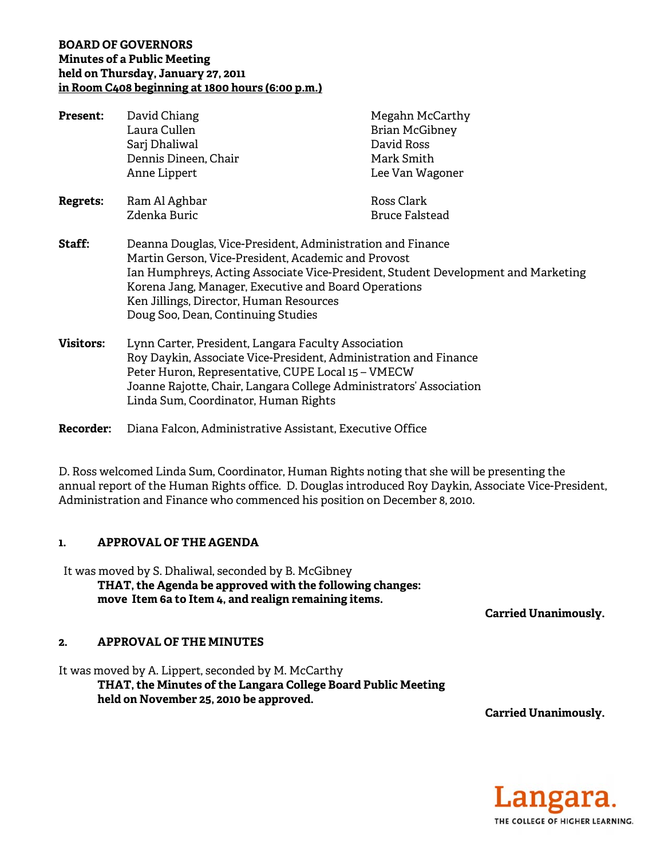### **BOARD OF GOVERNORS Minutes of a Public Meeting held on Thursday, January 27, 2011 in Room C408 beginning at 1800 hours (6:00 p.m.)**

| <b>Present:</b>  | David Chiang<br>Laura Cullen<br>Sarj Dhaliwal<br>Dennis Dineen, Chair<br>Anne Lippert                                                                                                                                                                                                                                                           | Megahn McCarthy<br><b>Brian McGibney</b><br>David Ross<br>Mark Smith<br>Lee Van Wagoner |
|------------------|-------------------------------------------------------------------------------------------------------------------------------------------------------------------------------------------------------------------------------------------------------------------------------------------------------------------------------------------------|-----------------------------------------------------------------------------------------|
| <b>Regrets:</b>  | Ram Al Aghbar<br>Zdenka Buric                                                                                                                                                                                                                                                                                                                   | Ross Clark<br><b>Bruce Falstead</b>                                                     |
| Staff:           | Deanna Douglas, Vice-President, Administration and Finance<br>Martin Gerson, Vice-President, Academic and Provost<br>Ian Humphreys, Acting Associate Vice-President, Student Development and Marketing<br>Korena Jang, Manager, Executive and Board Operations<br>Ken Jillings, Director, Human Resources<br>Doug Soo, Dean, Continuing Studies |                                                                                         |
| <b>Visitors:</b> | Lynn Carter, President, Langara Faculty Association<br>Roy Daykin, Associate Vice-President, Administration and Finance<br>Peter Huron, Representative, CUPE Local 15 - VMECW<br>Joanne Rajotte, Chair, Langara College Administrators' Association<br>Linda Sum, Coordinator, Human Rights                                                     |                                                                                         |

**Recorder:** Diana Falcon, Administrative Assistant, Executive Office

D. Ross welcomed Linda Sum, Coordinator, Human Rights noting that she will be presenting the annual report of the Human Rights office. D. Douglas introduced Roy Daykin, Associate Vice-President, Administration and Finance who commenced his position on December 8, 2010.

### **1. APPROVAL OF THE AGENDA**

It was moved by S. Dhaliwal, seconded by B. McGibney **THAT, the Agenda be approved with the following changes: move Item 6a to Item 4, and realign remaining items.** 

 **Carried Unanimously.** 

### **2. APPROVAL OF THE MINUTES**

It was moved by A. Lippert, seconded by M. McCarthy **THAT, the Minutes of the Langara College Board Public Meeting held on November 25, 2010 be approved.** 

 **Carried Unanimously.** 

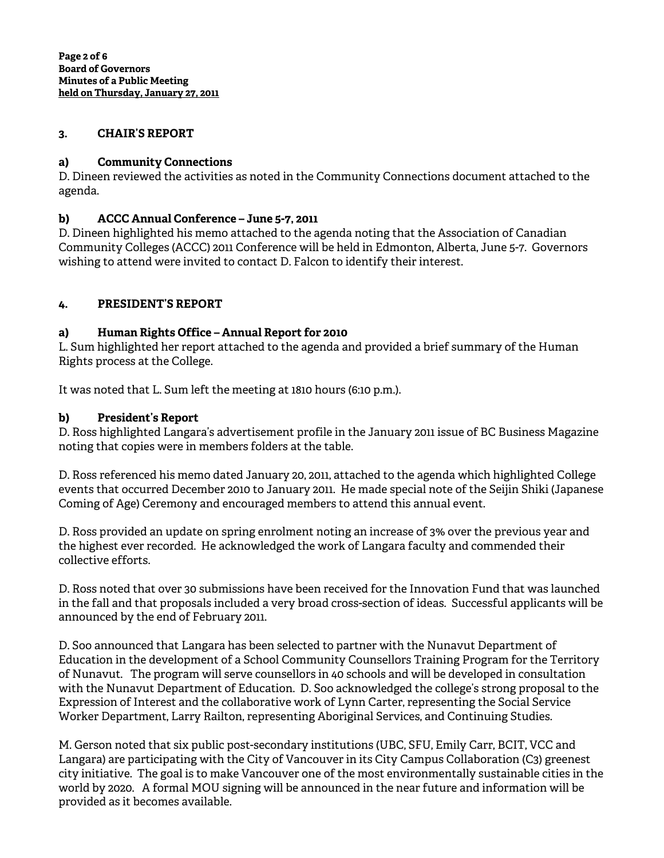### **3. CHAIR'S REPORT**

## **a) Community Connections**

D. Dineen reviewed the activities as noted in the Community Connections document attached to the agenda.

## **b) ACCC Annual Conference – June 5-7, 2011**

D. Dineen highlighted his memo attached to the agenda noting that the Association of Canadian Community Colleges (ACCC) 2011 Conference will be held in Edmonton, Alberta, June 5-7. Governors wishing to attend were invited to contact D. Falcon to identify their interest.

## **4. PRESIDENT'S REPORT**

## **a) Human Rights Office – Annual Report for 2010**

L. Sum highlighted her report attached to the agenda and provided a brief summary of the Human Rights process at the College.

It was noted that L. Sum left the meeting at 1810 hours (6:10 p.m.).

## **b) President's Report**

D. Ross highlighted Langara's advertisement profile in the January 2011 issue of BC Business Magazine noting that copies were in members folders at the table.

D. Ross referenced his memo dated January 20, 2011, attached to the agenda which highlighted College events that occurred December 2010 to January 2011. He made special note of the Seijin Shiki (Japanese Coming of Age) Ceremony and encouraged members to attend this annual event.

D. Ross provided an update on spring enrolment noting an increase of 3% over the previous year and the highest ever recorded. He acknowledged the work of Langara faculty and commended their collective efforts.

D. Ross noted that over 30 submissions have been received for the Innovation Fund that was launched in the fall and that proposals included a very broad cross-section of ideas. Successful applicants will be announced by the end of February 2011.

D. Soo announced that Langara has been selected to partner with the Nunavut Department of Education in the development of a School Community Counsellors Training Program for the Territory of Nunavut. The program will serve counsellors in 40 schools and will be developed in consultation with the Nunavut Department of Education. D. Soo acknowledged the college's strong proposal to the Expression of Interest and the collaborative work of Lynn Carter, representing the Social Service Worker Department, Larry Railton, representing Aboriginal Services, and Continuing Studies.

M. Gerson noted that six public post-secondary institutions (UBC, SFU, Emily Carr, BCIT, VCC and Langara) are participating with the City of Vancouver in its City Campus Collaboration (C3) greenest city initiative. The goal is to make Vancouver one of the most environmentally sustainable cities in the world by 2020. A formal MOU signing will be announced in the near future and information will be provided as it becomes available.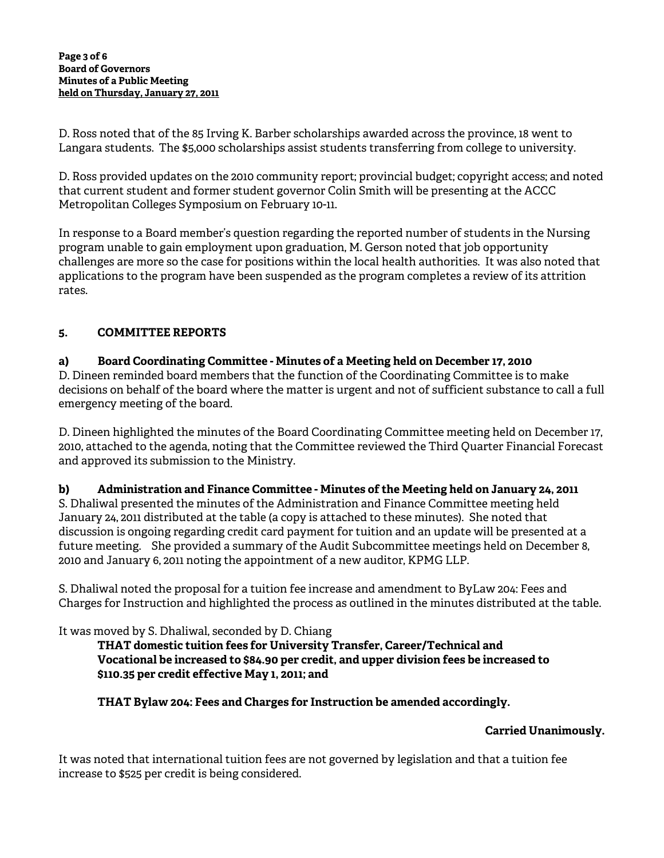D. Ross noted that of the 85 Irving K. Barber scholarships awarded across the province, 18 went to Langara students. The \$5,000 scholarships assist students transferring from college to university.

D. Ross provided updates on the 2010 community report; provincial budget; copyright access; and noted that current student and former student governor Colin Smith will be presenting at the ACCC Metropolitan Colleges Symposium on February 10-11.

In response to a Board member's question regarding the reported number of students in the Nursing program unable to gain employment upon graduation, M. Gerson noted that job opportunity challenges are more so the case for positions within the local health authorities. It was also noted that applications to the program have been suspended as the program completes a review of its attrition rates.

# **5. COMMITTEE REPORTS**

## **a) Board Coordinating Committee - Minutes of a Meeting held on December 17, 2010**

D. Dineen reminded board members that the function of the Coordinating Committee is to make decisions on behalf of the board where the matter is urgent and not of sufficient substance to call a full emergency meeting of the board.

D. Dineen highlighted the minutes of the Board Coordinating Committee meeting held on December 17, 2010, attached to the agenda, noting that the Committee reviewed the Third Quarter Financial Forecast and approved its submission to the Ministry.

### **b) Administration and Finance Committee - Minutes of the Meeting held on January 24, 2011**

S. Dhaliwal presented the minutes of the Administration and Finance Committee meeting held January 24, 2011 distributed at the table (a copy is attached to these minutes). She noted that discussion is ongoing regarding credit card payment for tuition and an update will be presented at a future meeting. She provided a summary of the Audit Subcommittee meetings held on December 8, 2010 and January 6, 2011 noting the appointment of a new auditor, KPMG LLP.

S. Dhaliwal noted the proposal for a tuition fee increase and amendment to ByLaw 204: Fees and Charges for Instruction and highlighted the process as outlined in the minutes distributed at the table.

It was moved by S. Dhaliwal, seconded by D. Chiang

**THAT domestic tuition fees for University Transfer, Career/Technical and Vocational be increased to \$84.90 per credit, and upper division fees be increased to \$110.35 per credit effective May 1, 2011; and** 

### **THAT Bylaw 204: Fees and Charges for Instruction be amended accordingly.**

# **Carried Unanimously.**

It was noted that international tuition fees are not governed by legislation and that a tuition fee increase to \$525 per credit is being considered.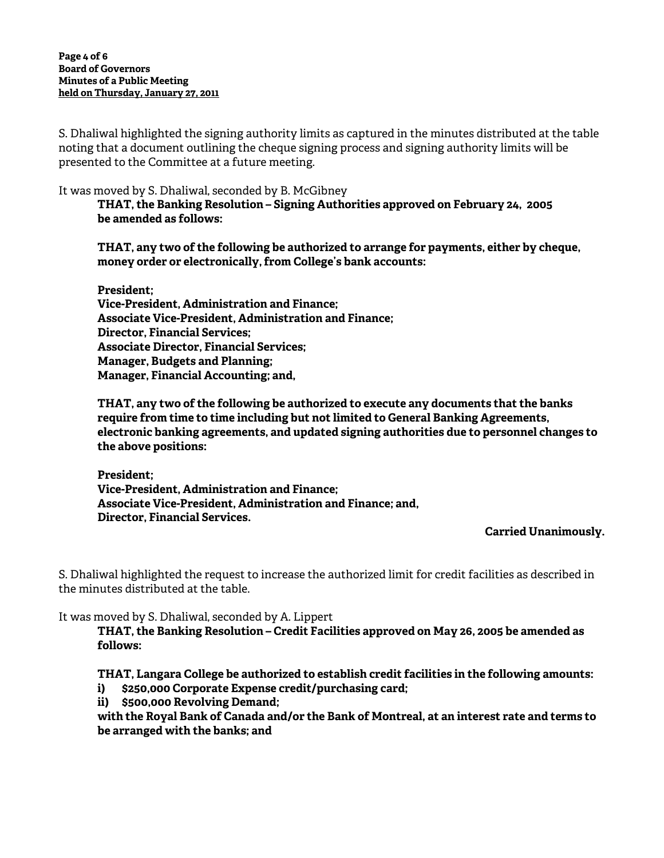S. Dhaliwal highlighted the signing authority limits as captured in the minutes distributed at the table noting that a document outlining the cheque signing process and signing authority limits will be presented to the Committee at a future meeting.

It was moved by S. Dhaliwal, seconded by B. McGibney

 **THAT, the Banking Resolution – Signing Authorities approved on February 24, 2005 be amended as follows:** 

 **THAT, any two of the following be authorized to arrange for payments, either by cheque, money order or electronically, from College's bank accounts:** 

 **President; Vice-President, Administration and Finance; Associate Vice-President, Administration and Finance; Director, Financial Services; Associate Director, Financial Services; Manager, Budgets and Planning; Manager, Financial Accounting; and,** 

 **THAT, any two of the following be authorized to execute any documents that the banks require from time to time including but not limited to General Banking Agreements, electronic banking agreements, and updated signing authorities due to personnel changes to the above positions:** 

 **President; Vice-President, Administration and Finance; Associate Vice-President, Administration and Finance; and, Director, Financial Services.** 

### **Carried Unanimously.**

S. Dhaliwal highlighted the request to increase the authorized limit for credit facilities as described in the minutes distributed at the table.

It was moved by S. Dhaliwal, seconded by A. Lippert

**THAT, the Banking Resolution – Credit Facilities approved on May 26, 2005 be amended as follows:** 

 **THAT, Langara College be authorized to establish credit facilities in the following amounts:** 

 **i) \$250,000 Corporate Expense credit/purchasing card;** 

 **ii) \$500,000 Revolving Demand;** 

 **with the Royal Bank of Canada and/or the Bank of Montreal, at an interest rate and terms to be arranged with the banks; and**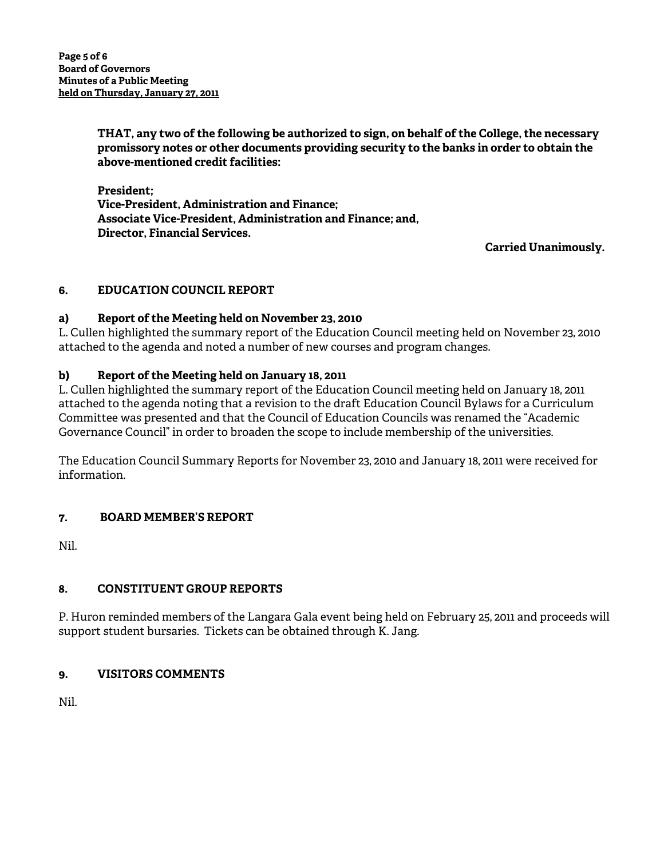**THAT, any two of the following be authorized to sign, on behalf of the College, the necessary promissory notes or other documents providing security to the banks in order to obtain the above-mentioned credit facilities:** 

 **President; Vice-President, Administration and Finance; Associate Vice-President, Administration and Finance; and, Director, Financial Services.** 

**Carried Unanimously.** 

### **6. EDUCATION COUNCIL REPORT**

### **a) Report of the Meeting held on November 23, 2010**

L. Cullen highlighted the summary report of the Education Council meeting held on November 23, 2010 attached to the agenda and noted a number of new courses and program changes.

### **b) Report of the Meeting held on January 18, 2011**

L. Cullen highlighted the summary report of the Education Council meeting held on January 18, 2011 attached to the agenda noting that a revision to the draft Education Council Bylaws for a Curriculum Committee was presented and that the Council of Education Councils was renamed the "Academic Governance Council" in order to broaden the scope to include membership of the universities.

The Education Council Summary Reports for November 23, 2010 and January 18, 2011 were received for information.

#### **7. BOARD MEMBER'S REPORT**

Nil.

#### **8. CONSTITUENT GROUP REPORTS**

P. Huron reminded members of the Langara Gala event being held on February 25, 2011 and proceeds will support student bursaries. Tickets can be obtained through K. Jang.

### **9. VISITORS COMMENTS**

Nil.